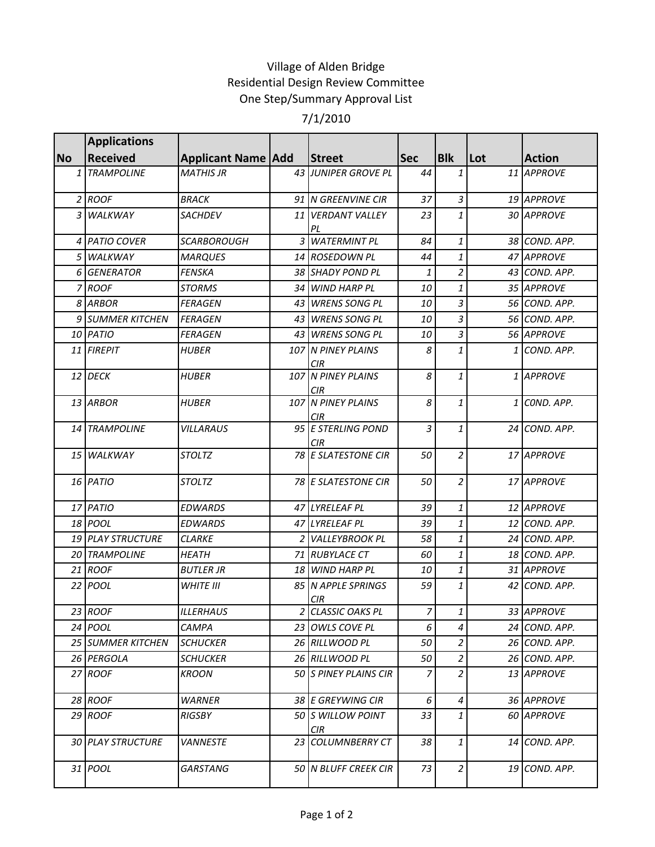## Village of Alden Bridge Residential Design Review Committee One Step/Summary Approval List

## 7/1/2010

|           | <b>Applications</b>      |                             |                                  |                |                  |     |               |
|-----------|--------------------------|-----------------------------|----------------------------------|----------------|------------------|-----|---------------|
| <b>No</b> | <b>Received</b>          | <b>Applicant Name   Add</b> | Street                           | <b>Sec</b>     | <b>Blk</b>       | Lot | <b>Action</b> |
|           | 1 TRAMPOLINE             | <b>MATHIS JR</b>            | 43 JUNIPER GROVE PL              | 44             | 1                |     | 11 APPROVE    |
|           | 2 ROOF                   | <b>BRACK</b>                | 91 N GREENVINE CIR               | 37             | $\mathfrak{Z}$   |     | 19 APPROVE    |
|           | 3 WALKWAY                | <b>SACHDEV</b>              | 11 VERDANT VALLEY<br>PL          | 23             | $\mathbf{1}$     |     | 30 APPROVE    |
|           | 4 PATIO COVER            | <b>SCARBOROUGH</b>          | 3 WATERMINT PL                   | 84             | $\it 1$          |     | 38 COND. APP. |
|           | 5 WALKWAY                | <b>MARQUES</b>              | 14 ROSEDOWN PL                   | 44             | $\mathbf{1}$     |     | 47 APPROVE    |
| 6         | <b>GENERATOR</b>         | <b>FENSKA</b>               | 38 SHADY POND PL                 | 1              | $\overline{c}$   |     | 43 COND. APP. |
|           | 7 ROOF                   | <b>STORMS</b>               | 34 WIND HARP PL                  | 10             | $\mathbf{1}$     |     | 35 APPROVE    |
|           | 8 ARBOR                  | <b>FERAGEN</b>              | 43 WRENS SONG PL                 | 10             | $\overline{3}$   |     | 56 COND. APP. |
|           | 9 SUMMER KITCHEN         | <b>FERAGEN</b>              | 43 WRENS SONG PL                 | 10             | 3                |     | 56 COND. APP. |
|           | 10 PATIO                 | <b>FERAGEN</b>              | 43 WRENS SONG PL                 | 10             | $\overline{3}$   |     | 56 APPROVE    |
|           | 11 FIREPIT               | <b>HUBER</b>                | 107 N PINEY PLAINS<br><b>CIR</b> | 8              | $\mathbf{1}$     |     | 1 COND. APP.  |
|           | 12 DECK                  | <b>HUBER</b>                | 107 N PINEY PLAINS<br><b>CIR</b> | 8              | $\mathbf{1}$     |     | 1 APPROVE     |
|           | 13 ARBOR                 | <b>HUBER</b>                | 107 N PINEY PLAINS<br>CIR        | 8              | 1                |     | 1 COND. APP.  |
|           | 14 TRAMPOLINE            | <b>VILLARAUS</b>            | 95 E STERLING POND<br>CIR        | 3              | $\mathbf{1}$     |     | 24 COND. APP. |
|           | 15 WALKWAY               | <b>STOLTZ</b>               | 78 E SLATESTONE CIR              | 50             | $\overline{2}$   |     | 17 APPROVE    |
|           | 16 PATIO                 | <b>STOLTZ</b>               | 78 E SLATESTONE CIR              | 50             | $\overline{2}$   |     | 17 APPROVE    |
|           | 17 PATIO                 | <b>EDWARDS</b>              | 47 LYRELEAF PL                   | 39             | $\it 1$          |     | 12 APPROVE    |
|           | 18 POOL                  | <b>EDWARDS</b>              | 47 LYRELEAF PL                   | 39             | $\mathbf{1}$     |     | 12 COND. APP. |
|           | <b>19 PLAY STRUCTURE</b> | <b>CLARKE</b>               | 2 VALLEYBROOK PL                 | 58             | $\mathbf{1}$     |     | 24 COND. APP. |
|           | 20 TRAMPOLINE            | <b>HEATH</b>                | 71 RUBYLACE CT                   | 60             | $\it 1$          |     | 18 COND. APP. |
|           | 21 ROOF                  | <b>BUTLER JR</b>            | 18 WIND HARP PL                  | 10             | $\mathbf{1}$     |     | 31 APPROVE    |
|           | 22 <i>POOL</i>           | <b>WHITE III</b>            | 85 N APPLE SPRINGS<br><b>CIR</b> | 59             | 1                |     | 42 COND. APP. |
|           | 23 ROOF                  | <b>ILLERHAUS</b>            | 2 CLASSIC OAKS PL                | $\overline{z}$ | $\mathbf{1}$     |     | 33 APPROVE    |
|           | 24 <i>POOL</i>           | <b>CAMPA</b>                | 23 OWLS COVE PL                  | 6              | $\overline{4}$   |     | 24 COND. APP. |
|           | <b>25 SUMMER KITCHEN</b> | <b>SCHUCKER</b>             | 26 RILLWOOD PL                   | 50             | 2                |     | 26 COND. APP. |
|           | 26 PERGOLA               | <b>SCHUCKER</b>             | 26 RILLWOOD PL                   | 50             | $\overline{2}$   |     | 26 COND. APP. |
|           | 27 ROOF                  | <b>KROON</b>                | 50 S PINEY PLAINS CIR            | 7              | $\overline{2}$   |     | 13 APPROVE    |
|           | 28 ROOF                  | <b>WARNER</b>               | 38 E GREYWING CIR                | 6              | $\boldsymbol{4}$ |     | 36 APPROVE    |
|           | 29 ROOF                  | <b>RIGSBY</b>               | 50 S WILLOW POINT<br><b>CIR</b>  | 33             | $\mathbf{1}$     |     | 60 APPROVE    |
|           | <b>30 PLAY STRUCTURE</b> | <b>VANNESTE</b>             | 23 COLUMNBERRY CT                | 38             | $\mathbf{1}$     |     | 14 COND. APP. |
|           | 31 POOL                  | <b>GARSTANG</b>             | 50 N BLUFF CREEK CIR             | 73             | $\overline{a}$   |     | 19 COND. APP. |